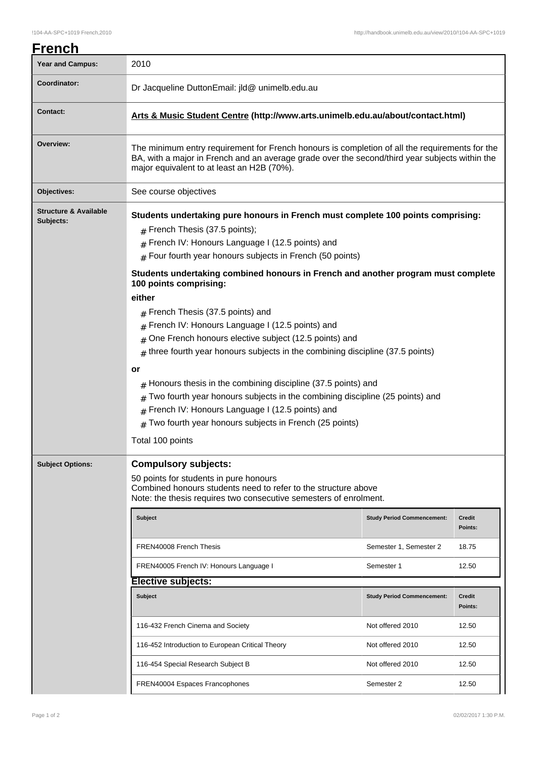| <u>French</u>                                 |                                                                                                                                                                                                                                                                                                                                                                                                                                                                                                                                                                                                                                                                                                                                                                                                                                                                                                                    |                                   |                          |  |  |
|-----------------------------------------------|--------------------------------------------------------------------------------------------------------------------------------------------------------------------------------------------------------------------------------------------------------------------------------------------------------------------------------------------------------------------------------------------------------------------------------------------------------------------------------------------------------------------------------------------------------------------------------------------------------------------------------------------------------------------------------------------------------------------------------------------------------------------------------------------------------------------------------------------------------------------------------------------------------------------|-----------------------------------|--------------------------|--|--|
| <b>Year and Campus:</b>                       | 2010                                                                                                                                                                                                                                                                                                                                                                                                                                                                                                                                                                                                                                                                                                                                                                                                                                                                                                               |                                   |                          |  |  |
| <b>Coordinator:</b>                           | Dr Jacqueline DuttonEmail: jld@ unimelb.edu.au                                                                                                                                                                                                                                                                                                                                                                                                                                                                                                                                                                                                                                                                                                                                                                                                                                                                     |                                   |                          |  |  |
| <b>Contact:</b>                               | Arts & Music Student Centre (http://www.arts.unimelb.edu.au/about/contact.html)                                                                                                                                                                                                                                                                                                                                                                                                                                                                                                                                                                                                                                                                                                                                                                                                                                    |                                   |                          |  |  |
| Overview:                                     | The minimum entry requirement for French honours is completion of all the requirements for the<br>BA, with a major in French and an average grade over the second/third year subjects within the<br>major equivalent to at least an H2B (70%).                                                                                                                                                                                                                                                                                                                                                                                                                                                                                                                                                                                                                                                                     |                                   |                          |  |  |
| Objectives:                                   | See course objectives                                                                                                                                                                                                                                                                                                                                                                                                                                                                                                                                                                                                                                                                                                                                                                                                                                                                                              |                                   |                          |  |  |
| <b>Structure &amp; Available</b><br>Subjects: | Students undertaking pure honours in French must complete 100 points comprising:<br>$#$ French Thesis (37.5 points);<br>French IV: Honours Language I (12.5 points) and<br>$#$ Four fourth year honours subjects in French (50 points)<br>Students undertaking combined honours in French and another program must complete<br>100 points comprising:<br>either<br>$#$ French Thesis (37.5 points) and<br>French IV: Honours Language I (12.5 points) and<br>#<br>One French honours elective subject (12.5 points) and<br>three fourth year honours subjects in the combining discipline (37.5 points)<br>#<br>or<br>Honours thesis in the combining discipline (37.5 points) and<br>Two fourth year honours subjects in the combining discipline (25 points) and<br>#<br>French IV: Honours Language I (12.5 points) and<br>#<br>Two fourth year honours subjects in French (25 points)<br>#<br>Total 100 points |                                   |                          |  |  |
| <b>Subject Options:</b>                       | <b>Compulsory subjects:</b><br>50 points for students in pure honours<br>Combined honours students need to refer to the structure above<br>Note: the thesis requires two consecutive semesters of enrolment.                                                                                                                                                                                                                                                                                                                                                                                                                                                                                                                                                                                                                                                                                                       |                                   |                          |  |  |
|                                               | <b>Subject</b>                                                                                                                                                                                                                                                                                                                                                                                                                                                                                                                                                                                                                                                                                                                                                                                                                                                                                                     | <b>Study Period Commencement:</b> | <b>Credit</b><br>Points: |  |  |
|                                               | FREN40008 French Thesis                                                                                                                                                                                                                                                                                                                                                                                                                                                                                                                                                                                                                                                                                                                                                                                                                                                                                            | Semester 1, Semester 2            | 18.75                    |  |  |
|                                               | FREN40005 French IV: Honours Language I                                                                                                                                                                                                                                                                                                                                                                                                                                                                                                                                                                                                                                                                                                                                                                                                                                                                            | Semester 1                        | 12.50                    |  |  |
|                                               | <b>Elective subjects:</b>                                                                                                                                                                                                                                                                                                                                                                                                                                                                                                                                                                                                                                                                                                                                                                                                                                                                                          |                                   |                          |  |  |
|                                               | <b>Subject</b>                                                                                                                                                                                                                                                                                                                                                                                                                                                                                                                                                                                                                                                                                                                                                                                                                                                                                                     | <b>Study Period Commencement:</b> | <b>Credit</b><br>Points: |  |  |
|                                               | 116-432 French Cinema and Society                                                                                                                                                                                                                                                                                                                                                                                                                                                                                                                                                                                                                                                                                                                                                                                                                                                                                  | Not offered 2010                  | 12.50                    |  |  |
|                                               | 116-452 Introduction to European Critical Theory                                                                                                                                                                                                                                                                                                                                                                                                                                                                                                                                                                                                                                                                                                                                                                                                                                                                   | Not offered 2010                  | 12.50                    |  |  |
|                                               | 116-454 Special Research Subject B                                                                                                                                                                                                                                                                                                                                                                                                                                                                                                                                                                                                                                                                                                                                                                                                                                                                                 | Not offered 2010                  | 12.50                    |  |  |
|                                               | FREN40004 Espaces Francophones                                                                                                                                                                                                                                                                                                                                                                                                                                                                                                                                                                                                                                                                                                                                                                                                                                                                                     | Semester 2                        | 12.50                    |  |  |